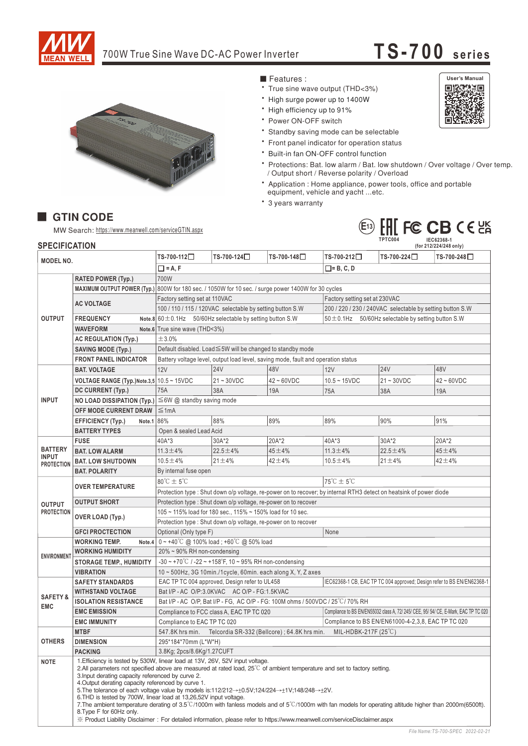

## 700W True Sine Wave DC-AC Power Inverter

## **TS-700 <sup>s</sup> <sup>e</sup> ri <sup>e</sup> <sup>s</sup>**



- Features :
- True sine wave output (THD<3%)
- \* High surge power up to 1400W
- High efficiency up to 91%
- \* Power ON-OFF switch
- \* Standby saving mode can be selectable
- Front panel indicator for operation status
- \* Built-in fan ON-OFF control function
- \* Protections: Bat. low alarm / Bat. low shutdown / Over voltage / Over temp. / Output short / Reverse polarity / Overload
- \* Application : Home appliance, power tools, office and portable equipment, vehicle and yacht ... etc.
- \* 3 years warranty



## **E<sup>13</sup>**

**TPTC004 IEC62368-1**

## **SPECIFICATION** MW Search: https://www.meanwell.com/serviceGTIN.aspx

■ GTIN CODE

| <b>SPECIFICATION</b>                         |                                            |                                                                                                                                                                                                                                                                                                                                                                                                                                                                                                                                                                                                                                                                                                                                                                                                                                                        |                                          |                  | IPIUUU4<br><b>ILC02308-1</b><br>(for 212/224/248 only)   |                |                  |  |
|----------------------------------------------|--------------------------------------------|--------------------------------------------------------------------------------------------------------------------------------------------------------------------------------------------------------------------------------------------------------------------------------------------------------------------------------------------------------------------------------------------------------------------------------------------------------------------------------------------------------------------------------------------------------------------------------------------------------------------------------------------------------------------------------------------------------------------------------------------------------------------------------------------------------------------------------------------------------|------------------------------------------|------------------|----------------------------------------------------------|----------------|------------------|--|
| <b>MODEL NO.</b>                             |                                            | TS-700-112□                                                                                                                                                                                                                                                                                                                                                                                                                                                                                                                                                                                                                                                                                                                                                                                                                                            | TS-700-124□                              | TS-700-148□      | TS-700-212□                                              | TS-700-224□    | TS-700-248□      |  |
|                                              |                                            | $\Box$ = A, F                                                                                                                                                                                                                                                                                                                                                                                                                                                                                                                                                                                                                                                                                                                                                                                                                                          |                                          |                  | $\Box$ = B, C, D                                         |                |                  |  |
| <b>OUTPUT</b>                                | <b>RATED POWER (Typ.)</b>                  | 700W                                                                                                                                                                                                                                                                                                                                                                                                                                                                                                                                                                                                                                                                                                                                                                                                                                                   |                                          |                  |                                                          |                |                  |  |
|                                              | <b>MAXIMUM OUTPUT POWER (Typ.)</b>         | 800W for 180 sec. / 1050W for 10 sec. / surge power 1400W for 30 cycles                                                                                                                                                                                                                                                                                                                                                                                                                                                                                                                                                                                                                                                                                                                                                                                |                                          |                  |                                                          |                |                  |  |
|                                              |                                            | Factory setting set at 110VAC<br>Factory setting set at 230VAC                                                                                                                                                                                                                                                                                                                                                                                                                                                                                                                                                                                                                                                                                                                                                                                         |                                          |                  |                                                          |                |                  |  |
|                                              | <b>AC VOLTAGE</b>                          | 100 / 110 / 115 / 120VAC selectable by setting button S.W<br>200 / 220 / 230 / 240VAC selectable by setting button S.W                                                                                                                                                                                                                                                                                                                                                                                                                                                                                                                                                                                                                                                                                                                                 |                                          |                  |                                                          |                |                  |  |
|                                              | <b>FREQUENCY</b>                           | Note.8 $60 \pm 0.1$ Hz 50/60 Hz selectable by setting button S.W                                                                                                                                                                                                                                                                                                                                                                                                                                                                                                                                                                                                                                                                                                                                                                                       |                                          |                  | $50 \pm 0.1$ Hz 50/60Hz selectable by setting button S.W |                |                  |  |
|                                              | <b>WAVEFORM</b>                            | Note.6 True sine wave (THD<3%)                                                                                                                                                                                                                                                                                                                                                                                                                                                                                                                                                                                                                                                                                                                                                                                                                         |                                          |                  |                                                          |                |                  |  |
|                                              | <b>AC REGULATION (Typ.)</b>                | ±3.0%                                                                                                                                                                                                                                                                                                                                                                                                                                                                                                                                                                                                                                                                                                                                                                                                                                                  |                                          |                  |                                                          |                |                  |  |
|                                              | <b>SAVING MODE (Typ.)</b>                  | Default disabled. Load ≤5W will be changed to standby mode                                                                                                                                                                                                                                                                                                                                                                                                                                                                                                                                                                                                                                                                                                                                                                                             |                                          |                  |                                                          |                |                  |  |
|                                              | <b>FRONT PANEL INDICATOR</b>               | Battery voltage level, output load level, saving mode, fault and operation status                                                                                                                                                                                                                                                                                                                                                                                                                                                                                                                                                                                                                                                                                                                                                                      |                                          |                  |                                                          |                |                  |  |
| <b>INPUT</b>                                 | <b>BAT. VOLTAGE</b>                        | 12V                                                                                                                                                                                                                                                                                                                                                                                                                                                                                                                                                                                                                                                                                                                                                                                                                                                    | <b>24V</b>                               | 48V              | 12V                                                      | <b>24V</b>     | 48V              |  |
|                                              | VOLTAGE RANGE (Typ.)Note.3,5 10.5 ~ 15VDC  |                                                                                                                                                                                                                                                                                                                                                                                                                                                                                                                                                                                                                                                                                                                                                                                                                                                        | $21 - 30VDC$                             | $42 \sim 60$ VDC | $10.5 - 15$ VDC                                          | $21 - 30VDC$   | $42 \sim 60$ VDC |  |
|                                              | DC CURRENT (Typ.)                          | 75A                                                                                                                                                                                                                                                                                                                                                                                                                                                                                                                                                                                                                                                                                                                                                                                                                                                    | 38A                                      | 19A              | 75A                                                      | 38A            | 19A              |  |
|                                              | <b>NO LOAD DISSIPATION (Typ.)</b>          | $\leq$ 6W @ standby saving mode                                                                                                                                                                                                                                                                                                                                                                                                                                                                                                                                                                                                                                                                                                                                                                                                                        |                                          |                  |                                                          |                |                  |  |
|                                              | OFF MODE CURRENT DRAW                      | $\leq 1$ mA                                                                                                                                                                                                                                                                                                                                                                                                                                                                                                                                                                                                                                                                                                                                                                                                                                            |                                          |                  |                                                          |                |                  |  |
|                                              | Note.1 86%<br><b>EFFICIENCY (Typ.)</b>     |                                                                                                                                                                                                                                                                                                                                                                                                                                                                                                                                                                                                                                                                                                                                                                                                                                                        | 88%                                      | 89%              | 89%                                                      | 90%            | 91%              |  |
|                                              | <b>BATTERY TYPES</b>                       | Open & sealed Lead Acid                                                                                                                                                                                                                                                                                                                                                                                                                                                                                                                                                                                                                                                                                                                                                                                                                                |                                          |                  |                                                          |                |                  |  |
| <b>BATTERY</b><br>INPUT<br><b>PROTECTION</b> | <b>FUSE</b>                                | 40A*3                                                                                                                                                                                                                                                                                                                                                                                                                                                                                                                                                                                                                                                                                                                                                                                                                                                  | 30A*2                                    | 20A*2            | 40A*3                                                    | 30A*2          | 20A*2            |  |
|                                              | <b>BAT. LOW ALARM</b>                      | $11.3 \pm 4\%$                                                                                                                                                                                                                                                                                                                                                                                                                                                                                                                                                                                                                                                                                                                                                                                                                                         | $22.5 \pm 4\%$                           | 45±4%            | $11.3 \pm 4\%$                                           | $22.5 \pm 4\%$ | 45±4%            |  |
|                                              | <b>BAT. LOW SHUTDOWN</b>                   | $10.5 \pm 4\%$                                                                                                                                                                                                                                                                                                                                                                                                                                                                                                                                                                                                                                                                                                                                                                                                                                         | $21 \pm 4\%$                             | $42 + 4%$        | $10.5 \pm 4\%$                                           | $21 \pm 4\%$   | $42 + 4%$        |  |
|                                              | <b>BAT. POLARITY</b>                       | By internal fuse open                                                                                                                                                                                                                                                                                                                                                                                                                                                                                                                                                                                                                                                                                                                                                                                                                                  |                                          |                  |                                                          |                |                  |  |
| <b>OUTPUT</b><br><b>PROTECTION</b>           | <b>OVER TEMPERATURE</b>                    | $80^{\circ}$ C $\pm$ 5 $^{\circ}$ C<br>$75^{\circ}$ C $\pm$ 5 $^{\circ}$ C                                                                                                                                                                                                                                                                                                                                                                                                                                                                                                                                                                                                                                                                                                                                                                             |                                          |                  |                                                          |                |                  |  |
|                                              |                                            | Protection type : Shut down o/p voltage, re-power on to recover; by internal RTH3 detect on heatsink of power diode                                                                                                                                                                                                                                                                                                                                                                                                                                                                                                                                                                                                                                                                                                                                    |                                          |                  |                                                          |                |                  |  |
|                                              | <b>OUTPUT SHORT</b>                        | Protection type: Shut down o/p voltage, re-power on to recover                                                                                                                                                                                                                                                                                                                                                                                                                                                                                                                                                                                                                                                                                                                                                                                         |                                          |                  |                                                          |                |                  |  |
|                                              | <b>OVER LOAD (Typ.)</b>                    | 105 ~ 115% load for 180 sec., 115% ~ 150% load for 10 sec.                                                                                                                                                                                                                                                                                                                                                                                                                                                                                                                                                                                                                                                                                                                                                                                             |                                          |                  |                                                          |                |                  |  |
|                                              |                                            | Protection type : Shut down o/p voltage, re-power on to recover                                                                                                                                                                                                                                                                                                                                                                                                                                                                                                                                                                                                                                                                                                                                                                                        |                                          |                  |                                                          |                |                  |  |
|                                              | <b>GFCI PROCTECTION</b>                    | Optional (Only type F)<br>None                                                                                                                                                                                                                                                                                                                                                                                                                                                                                                                                                                                                                                                                                                                                                                                                                         |                                          |                  |                                                          |                |                  |  |
| <b>ENVIRONMENT</b>                           | <b>WORKING TEMP.</b>                       | Note.4 $0 \sim +40^{\circ}$ C @ 100% load; +60 $^{\circ}$ C @ 50% load                                                                                                                                                                                                                                                                                                                                                                                                                                                                                                                                                                                                                                                                                                                                                                                 |                                          |                  |                                                          |                |                  |  |
|                                              | <b>WORKING HUMIDITY</b>                    | 20% ~ 90% RH non-condensing                                                                                                                                                                                                                                                                                                                                                                                                                                                                                                                                                                                                                                                                                                                                                                                                                            |                                          |                  |                                                          |                |                  |  |
|                                              | <b>STORAGE TEMP., HUMIDITY</b>             | -30 ~ +70 $\degree$ C / -22 ~ +158 $\degree$ F, 10 ~ 95% RH non-condensing                                                                                                                                                                                                                                                                                                                                                                                                                                                                                                                                                                                                                                                                                                                                                                             |                                          |                  |                                                          |                |                  |  |
|                                              | <b>VIBRATION</b>                           | 10 ~ 500Hz, 3G 10min./1cycle, 60min. each along X, Y, Z axes                                                                                                                                                                                                                                                                                                                                                                                                                                                                                                                                                                                                                                                                                                                                                                                           |                                          |                  |                                                          |                |                  |  |
| <b>SAFETY &amp;</b><br><b>EMC</b>            | <b>SAFETY STANDARDS</b>                    | EAC TP TC 004 approved, Design refer to UL458<br>IEC62368-1 CB, EAC TP TC 004 approved; Design refer to BS EN/EN62368-1                                                                                                                                                                                                                                                                                                                                                                                                                                                                                                                                                                                                                                                                                                                                |                                          |                  |                                                          |                |                  |  |
|                                              | <b>WITHSTAND VOLTAGE</b>                   | Bat I/P - AC O/P:3.0KVAC AC O/P - FG:1.5KVAC                                                                                                                                                                                                                                                                                                                                                                                                                                                                                                                                                                                                                                                                                                                                                                                                           |                                          |                  |                                                          |                |                  |  |
|                                              | <b>ISOLATION RESISTANCE</b>                | Bat I/P - AC O/P, Bat I/P - FG, AC O/P - FG: 100M ohms / 500VDC / 25°C/70% RH<br>Compliance to BS EN/EN55032 class A, 72/ 245/ CEE, 95/ 54/ CE, E-Mark, EAC TP TC 020                                                                                                                                                                                                                                                                                                                                                                                                                                                                                                                                                                                                                                                                                  |                                          |                  |                                                          |                |                  |  |
|                                              | <b>EMC EMISSION</b>                        |                                                                                                                                                                                                                                                                                                                                                                                                                                                                                                                                                                                                                                                                                                                                                                                                                                                        | Compliance to FCC class A, EAC TP TC 020 |                  |                                                          |                |                  |  |
|                                              | <b>EMC IMMUNITY</b>                        | Compliance to BS EN/EN61000-4-2.3.8. EAC TP TC 020<br>Compliance to EAC TP TC 020<br>547.8K hrs min. Telcordia SR-332 (Bellcore); 64.8K hrs min.<br>MIL-HDBK-217F $(25^{\circ}$ C)                                                                                                                                                                                                                                                                                                                                                                                                                                                                                                                                                                                                                                                                     |                                          |                  |                                                          |                |                  |  |
| <b>OTHERS</b>                                | <b>MTBF</b>                                | 295*184*70mm (L*W*H)                                                                                                                                                                                                                                                                                                                                                                                                                                                                                                                                                                                                                                                                                                                                                                                                                                   |                                          |                  |                                                          |                |                  |  |
|                                              | <b>DIMENSION</b>                           | 3.8Kg; 2pcs/8.6Kg/1.27CUFT                                                                                                                                                                                                                                                                                                                                                                                                                                                                                                                                                                                                                                                                                                                                                                                                                             |                                          |                  |                                                          |                |                  |  |
| <b>NOTE</b>                                  | <b>PACKING</b><br>8. Type F for 60Hz only. | 1. Efficiency is tested by 530W, linear load at 13V, 26V, 52V input voltage.<br>2.All parameters not specified above are measured at rated load, $25^{\circ}$ of ambient temperature and set to factory setting.<br>3. Input derating capacity referenced by curve 2.<br>4. Output derating capacity referenced by curve 1.<br>5. The tolerance of each voltage value by models is:112/212 $\rightarrow$ +0.5V;124/224 $\rightarrow$ +1V;148/248 $\rightarrow$ +2V.<br>6. THD is tested by 700W, linear load at 13,26,52V input voltage.<br>7. The ambient temperature derating of 3.5 $\degree$ C/1000m with fanless models and of 5 $\degree$ C/1000m with fan models for operating altitude higher than 2000m(6500ft).<br>X Product Liability Disclaimer: For detailed information, please refer to https://www.meanwell.com/serviceDisclaimer.aspx |                                          |                  |                                                          |                |                  |  |